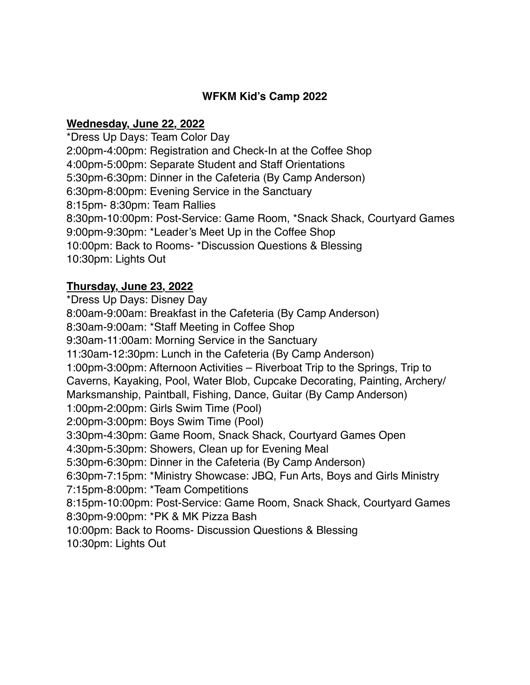### **WFKM Kid's Camp 2022**

#### **Wednesday, June 22, 2022**

\*Dress Up Days: Team Color Day 2:00pm-4:00pm: Registration and Check-In at the Coffee Shop 4:00pm-5:00pm: Separate Student and Staff Orientations 5:30pm-6:30pm: Dinner in the Cafeteria (By Camp Anderson) 6:30pm-8:00pm: Evening Service in the Sanctuary 8:15pm- 8:30pm: Team Rallies 8:30pm-10:00pm: Post-Service: Game Room, \*Snack Shack, Courtyard Games 9:00pm-9:30pm: \*Leader's Meet Up in the Coffee Shop 10:00pm: Back to Rooms- \*Discussion Questions & Blessing 10:30pm: Lights Out

## **Thursday, June 23, 2022**

\*Dress Up Days: Disney Day 8:00am-9:00am: Breakfast in the Cafeteria (By Camp Anderson) 8:30am-9:00am: \*Staff Meeting in Coffee Shop 9:30am-11:00am: Morning Service in the Sanctuary 11:30am-12:30pm: Lunch in the Cafeteria (By Camp Anderson) 1:00pm-3:00pm: Afternoon Activities – Riverboat Trip to the Springs, Trip to Caverns, Kayaking, Pool, Water Blob, Cupcake Decorating, Painting, Archery/ Marksmanship, Paintball, Fishing, Dance, Guitar (By Camp Anderson) 1:00pm-2:00pm: Girls Swim Time (Pool) 2:00pm-3:00pm: Boys Swim Time (Pool) 3:30pm-4:30pm: Game Room, Snack Shack, Courtyard Games Open 4:30pm-5:30pm: Showers, Clean up for Evening Meal 5:30pm-6:30pm: Dinner in the Cafeteria (By Camp Anderson) 6:30pm-7:15pm: \*Ministry Showcase: JBQ, Fun Arts, Boys and Girls Ministry 7:15pm-8:00pm: \*Team Competitions 8:15pm-10:00pm: Post-Service: Game Room, Snack Shack, Courtyard Games 8:30pm-9:00pm: \*PK & MK Pizza Bash 10:00pm: Back to Rooms- Discussion Questions & Blessing 10:30pm: Lights Out